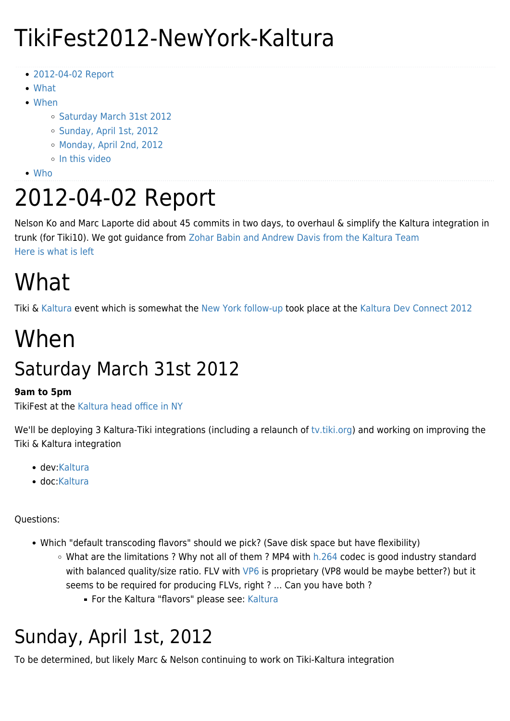## TikiFest2012-NewYork-Kaltura

- [2012-04-02 Report](#page--1-0)
- [What](#page--1-0)
- [When](#page--1-0)
	- o [Saturday March 31st 2012](#page--1-0)
	- o [Sunday, April 1st, 2012](#page--1-0)
	- [Monday, April 2nd, 2012](#page--1-0)
	- o [In this video](#page--1-0)
- [Who](#page--1-0)

# 2012-04-02 Report

Nelson Ko and Marc Laporte did about 45 commits in two days, to overhaul & simplify the Kaltura integration in trunk (for Tiki10). We got guidance from [Zohar Babin and Andrew Davis from the Kaltura Team](https://doc.tiki.org/Kaltura#Tiki10) [Here is what is left](https://dev.tiki.org/Kaltura#Top_remaining_requests)

# What

Tiki & [Kaltura](https://tiki.org/Kaltura) event which is somewhat the [New York follow-up](https://info.tiki.org/article299-TikiFest-New-York-A-Great-Success) took place at the [Kaltura Dev Connect 2012](https://blog.kaltura.org/redefine-web-video-kaltura-devconnect-2012)

## When

## Saturday March 31st 2012

#### **9am to 5pm**

TikiFest at the [Kaltura head office in NY](https://maps.google.com/maps?q=200+Park+Avenue+South,+New+York,+NY,+United+States&hl=en&sll=51.520696,-0.134434&sspn=0.010521,0.033023&vpsrc=0&hnear=200+Park+Ave+S,+New+York,+10003&t=m&z=17)

We'll be deploying 3 Kaltura-Tiki integrations (including a relaunch of [tv.tiki.org](https://tiki.org/tv.tiki.org)) and working on improving the Tiki & Kaltura integration

- dev:[Kaltura](http://dev.tiki.org/Kaltura)
- doc[:Kaltura](http://doc.tiki.org/Kaltura)

#### Questions:

- Which "default transcoding flavors" should we pick? (Save disk space but have flexibility)
	- $\circ$  What are the limitations ? Why not all of them ? MP4 with [h.264](https://en.wikipedia.org/wiki/H.264/MPEG-4_AVC) codec is good industry standard with balanced quality/size ratio. FLV with [VP6](https://en.wikipedia.org/wiki/VP6) is proprietary (VP8 would be maybe better?) but it seems to be required for producing FLVs, right ? ... Can you have both ?
		- **For the [Kaltura](http://doc.tiki.org/Kaltura) "flavors" please see: Kaltura**

## Sunday, April 1st, 2012

To be determined, but likely Marc & Nelson continuing to work on Tiki-Kaltura integration